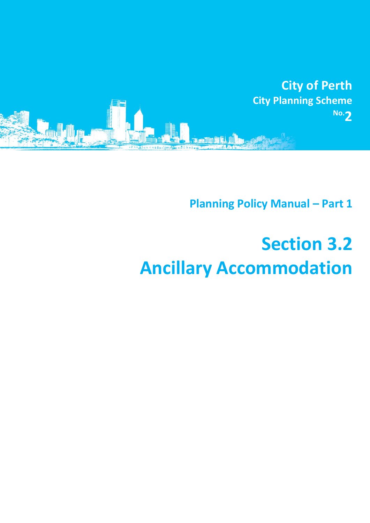

**Planning Policy Manual - Part 1** 

## **Section 3.2 Ancillary Accommodation**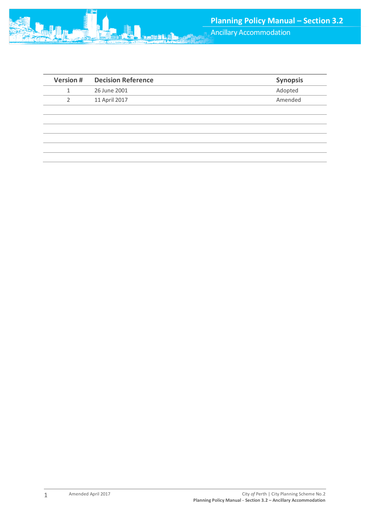

| <b>Version #</b> | <b>Decision Reference</b> | <b>Synopsis</b> |
|------------------|---------------------------|-----------------|
|                  | 26 June 2001              | Adopted         |
| 2                | 11 April 2017             | Amended         |
|                  |                           |                 |
|                  |                           |                 |
|                  |                           |                 |
|                  |                           |                 |
|                  |                           |                 |